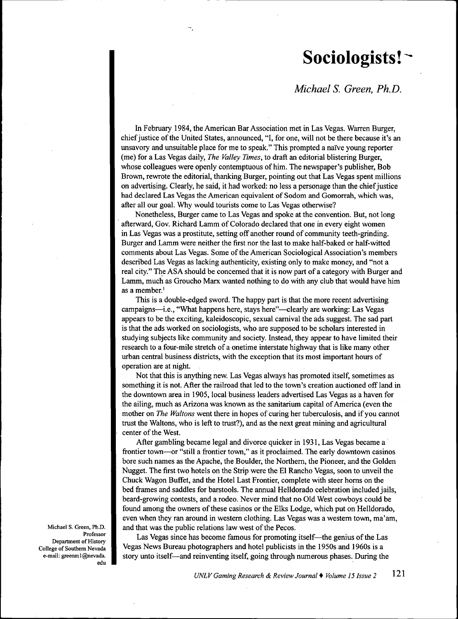## **Sociologists!**

*Michael S. Green, Ph.D.*

In Febmary 1984, the American Bar Association met in Las Vegas. Warren Burger, chief justice ofthe United States, announced, "I, for one, will not be there because it's an unsavory and unsuitable place for me to speak." This prompted a naïve young reporter (me) for a Las Vegas daily. *The Valley Times,* to draft an editorial blistering Burger, whose colleagues were openly contemptuous of him. The newspaper's publisher. Bob Brown, rewrote the editorial, thanking Burger, pointing out that Las Vegas spent millions on advertising. Clearly, he said, it had worked: no less a personage than the chief justice had declared Las Vegas the American equivalent of Sodom and Gomorrah, which was, after all our goal. Why would tourists come to Las Vegas otherwise?

Nonetheless, Burger came to Las Vegas and spoke at the convention. But, not long afterward, Gov. Richard Lamm of Colorado declared that one in every eight women in Las Vegas was a prostitute, sefting off another round of community teeth-grinding. Burger and Lamm were neither the first nor the last to make half-baked or half-witted comments about Las Vegas. Some of the American Sociological Association's members described Las Vegas as lacking authenticity, existing only to make money, and "not a real city." The ASA should be concemed that it is now part of a category with Burger and Lamm, much as Groucho Marx wanted nothing to do with any club that would have him as a member.'

This is a double-edged sword. The happy part is that the more recent advertising campaigns—i.e., "What happens here, stays here"—clearly are working: Las Vegas appears to be the exciting, kaleidoscopic, sexual camival the ads suggest. The sad part is that the ads worked on sociologists, who are supposed to be scholars interested in studying subjects like community and society. Instead, they appear to have limited their research to a four-mile sfretch of a onetime interstate highway that is like many other urban central business districts, with the exception that its most important hours of operation are at night.

Not that this is anything new. Las Vegas always has promoted itself, sometimes as something it is not. After the railroad that led to the town's creation auctioned off land in the downtown area in 1905, local business leaders advertised Las Vegas as a haven for the ailing, much as Arizona was known as the sanitarium capital of America (even the mother on *The Waltons* went there in hopes of curing her tuberculosis, and if you cannot trust the Waltons, who is left to trust?), and as the next great mining and agricultural center of the West.

After gambling became legal and divorce quicker in 1931, Las Vegas became a frontier town—or "still a frontier town," as it proclaimed. The early downtown casinos bore such names as the Apache, the Boulder, the Northem, the Pioneer, and the Golden Nugget. The first two hotels on the Strip were the El Rancho Vegas, soon to unveil the Chuck Wagon Buffet, and the Hotel Last Frontier, complete with steer homs on the bed frames and saddles for barstools. The annual Helldorado celebration included jails, beard-growing contests, and a rodeo. Never mind that no Old West cowboys could be found among the owners of these casinos or the Elks Lodge, which put on Helldorado, even when they ran around in westem clothing. Las Vegas was a westem town, ma'am, and that was the public relations law west of the Pecos.

Las Vegas since has become famous for promoting itself—the genius of the Las Vegas News Bureau photographers and hotel publicists in the 1950s and 1960s is a story unto itself—and reinventing itself, going through numerous phases. During the

Michael S. Green, Ph.D. Professor Department of History College of Southem Nevada e-mail: greenm1@nevada. edu